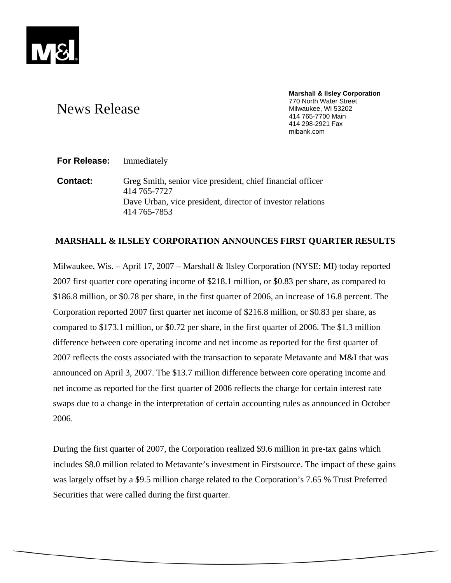

# News Release

**Marshall & Ilsley Corporation**  770 North Water Street Milwaukee, WI 53202 414 765-7700 Main 414 298-2921 Fax mibank.com

## **For Release:** Immediately

**Contact:** Greg Smith, senior vice president, chief financial officer 414 765-7727 Dave Urban, vice president, director of investor relations 414 765-7853

## **MARSHALL & ILSLEY CORPORATION ANNOUNCES FIRST QUARTER RESULTS**

Milwaukee, Wis. – April 17, 2007 – Marshall & Ilsley Corporation (NYSE: MI) today reported 2007 first quarter core operating income of \$218.1 million, or \$0.83 per share, as compared to \$186.8 million, or \$0.78 per share, in the first quarter of 2006, an increase of 16.8 percent. The Corporation reported 2007 first quarter net income of \$216.8 million, or \$0.83 per share, as compared to \$173.1 million, or \$0.72 per share, in the first quarter of 2006. The \$1.3 million difference between core operating income and net income as reported for the first quarter of 2007 reflects the costs associated with the transaction to separate Metavante and M&I that was announced on April 3, 2007. The \$13.7 million difference between core operating income and net income as reported for the first quarter of 2006 reflects the charge for certain interest rate swaps due to a change in the interpretation of certain accounting rules as announced in October 2006.

During the first quarter of 2007, the Corporation realized \$9.6 million in pre-tax gains which includes \$8.0 million related to Metavante's investment in Firstsource. The impact of these gains was largely offset by a \$9.5 million charge related to the Corporation's 7.65 % Trust Preferred Securities that were called during the first quarter.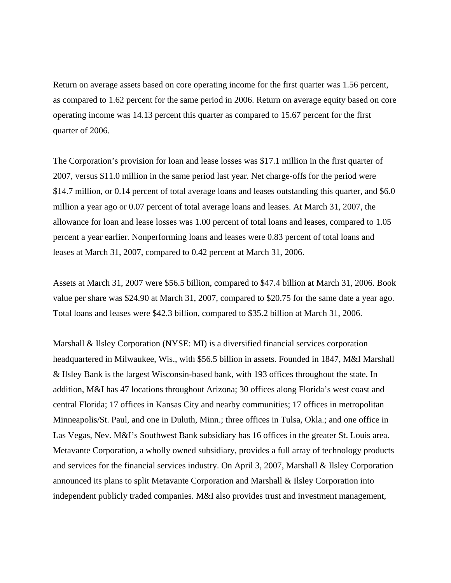Return on average assets based on core operating income for the first quarter was 1.56 percent, as compared to 1.62 percent for the same period in 2006. Return on average equity based on core operating income was 14.13 percent this quarter as compared to 15.67 percent for the first quarter of 2006.

The Corporation's provision for loan and lease losses was \$17.1 million in the first quarter of 2007, versus \$11.0 million in the same period last year. Net charge-offs for the period were \$14.7 million, or 0.14 percent of total average loans and leases outstanding this quarter, and \$6.0 million a year ago or 0.07 percent of total average loans and leases. At March 31, 2007, the allowance for loan and lease losses was 1.00 percent of total loans and leases, compared to 1.05 percent a year earlier. Nonperforming loans and leases were 0.83 percent of total loans and leases at March 31, 2007, compared to 0.42 percent at March 31, 2006.

Assets at March 31, 2007 were \$56.5 billion, compared to \$47.4 billion at March 31, 2006. Book value per share was \$24.90 at March 31, 2007, compared to \$20.75 for the same date a year ago. Total loans and leases were \$42.3 billion, compared to \$35.2 billion at March 31, 2006.

Marshall & Ilsley Corporation (NYSE: MI) is a diversified financial services corporation headquartered in Milwaukee, Wis., with \$56.5 billion in assets. Founded in 1847, M&I Marshall & Ilsley Bank is the largest Wisconsin-based bank, with 193 offices throughout the state. In addition, M&I has 47 locations throughout Arizona; 30 offices along Florida's west coast and central Florida; 17 offices in Kansas City and nearby communities; 17 offices in metropolitan Minneapolis/St. Paul, and one in Duluth, Minn.; three offices in Tulsa, Okla.; and one office in Las Vegas, Nev. M&I's Southwest Bank subsidiary has 16 offices in the greater St. Louis area. Metavante Corporation, a wholly owned subsidiary, provides a full array of technology products and services for the financial services industry. On April 3, 2007, Marshall & Ilsley Corporation announced its plans to split Metavante Corporation and Marshall & Ilsley Corporation into independent publicly traded companies. M&I also provides trust and investment management,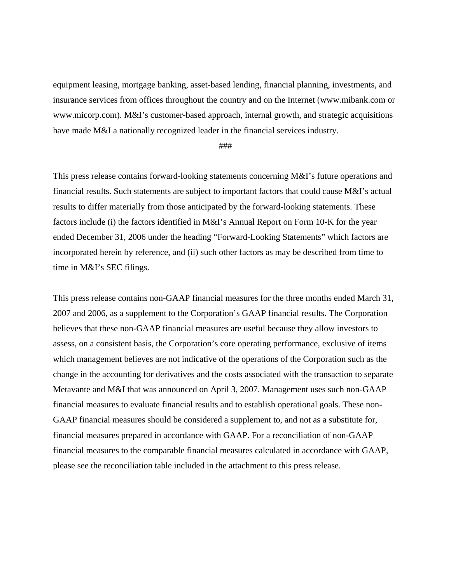equipment leasing, mortgage banking, asset-based lending, financial planning, investments, and insurance services from offices throughout the country and on the Internet (www.mibank.com or www.micorp.com). M&I's customer-based approach, internal growth, and strategic acquisitions have made M&I a nationally recognized leader in the financial services industry.

### ###

This press release contains forward-looking statements concerning M&I's future operations and financial results. Such statements are subject to important factors that could cause M&I's actual results to differ materially from those anticipated by the forward-looking statements. These factors include (i) the factors identified in M&I's Annual Report on Form 10-K for the year ended December 31, 2006 under the heading "Forward-Looking Statements" which factors are incorporated herein by reference, and (ii) such other factors as may be described from time to time in M&I's SEC filings.

This press release contains non-GAAP financial measures for the three months ended March 31, 2007 and 2006, as a supplement to the Corporation's GAAP financial results. The Corporation believes that these non-GAAP financial measures are useful because they allow investors to assess, on a consistent basis, the Corporation's core operating performance, exclusive of items which management believes are not indicative of the operations of the Corporation such as the change in the accounting for derivatives and the costs associated with the transaction to separate Metavante and M&I that was announced on April 3, 2007. Management uses such non-GAAP financial measures to evaluate financial results and to establish operational goals. These non-GAAP financial measures should be considered a supplement to, and not as a substitute for, financial measures prepared in accordance with GAAP. For a reconciliation of non-GAAP financial measures to the comparable financial measures calculated in accordance with GAAP, please see the reconciliation table included in the attachment to this press release.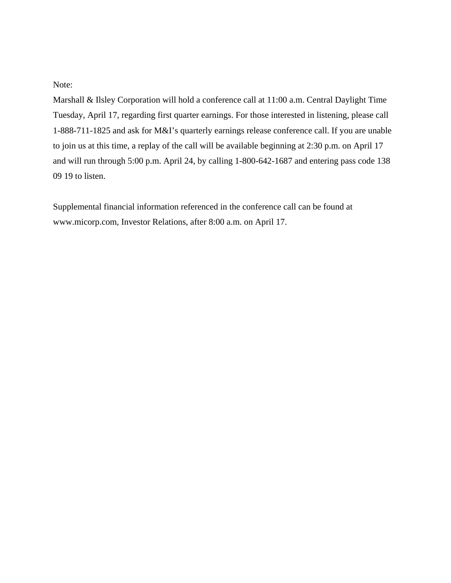Note:

Marshall & Ilsley Corporation will hold a conference call at 11:00 a.m. Central Daylight Time Tuesday, April 17, regarding first quarter earnings. For those interested in listening, please call 1-888-711-1825 and ask for M&I's quarterly earnings release conference call. If you are unable to join us at this time, a replay of the call will be available beginning at 2:30 p.m. on April 17 and will run through 5:00 p.m. April 24, by calling 1-800-642-1687 and entering pass code 138 09 19 to listen.

Supplemental financial information referenced in the conference call can be found at www.micorp.com, Investor Relations, after 8:00 a.m. on April 17.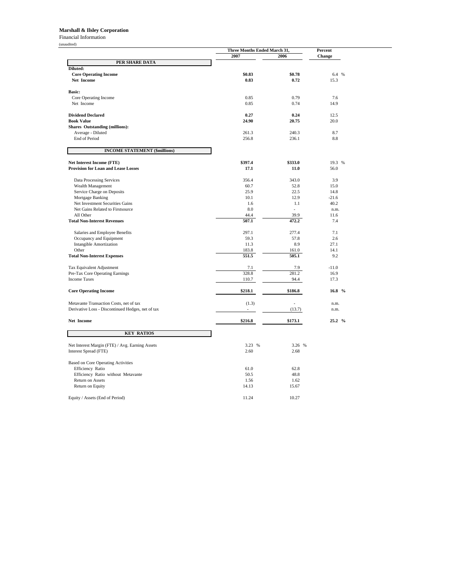#### **Marshall & Ilsley Corporation**

Financial Information

| (unaudited)                                            |                | Three Months Ended March 31, |                   |
|--------------------------------------------------------|----------------|------------------------------|-------------------|
|                                                        | 2007           | 2006                         | Percent<br>Change |
| PER SHARE DATA                                         |                |                              |                   |
| Diluted:                                               |                |                              |                   |
| <b>Core Operating Income</b>                           | \$0.83         | \$0.78                       | 6.4 %             |
| Net Income                                             | 0.83           | 0.72                         | 15.3              |
|                                                        |                |                              |                   |
| <b>Basic:</b>                                          |                |                              |                   |
| Core Operating Income                                  | 0.85           | 0.79                         | 7.6               |
| Net Income                                             | 0.85           | 0.74                         | 14.9              |
|                                                        |                |                              |                   |
| <b>Dividend Declared</b>                               | 0.27           | 0.24                         | 12.5              |
| <b>Book Value</b>                                      | 24.90          | 20.75                        | 20.0              |
| <b>Shares Outstanding (millions):</b>                  |                |                              |                   |
| Average - Diluted                                      | 261.3          | 240.3                        | 8.7               |
| End of Period                                          | 256.8          | 236.1                        | 8.8               |
| <b>INCOME STATEMENT (\$millions)</b>                   |                |                              |                   |
| Net Interest Income (FTE)                              | \$397.4        | \$333.0                      | 19.3 %            |
| <b>Provision for Loan and Lease Losses</b>             | 17.1           | 11.0                         | 56.0              |
|                                                        |                |                              |                   |
| Data Processing Services                               | 356.4          | 343.0                        | 3.9               |
| Wealth Management                                      | 60.7           | 52.8                         | 15.0              |
| Service Charge on Deposits                             | 25.9           | 22.5                         | 14.8              |
| Mortgage Banking                                       | 10.1           | 12.9                         | $-21.6$           |
| Net Investment Securities Gains                        | 1.6            | 1.1                          | 40.2              |
| Net Gains Related to Firstsource                       | 8.0            | ÷                            | n.m.              |
| All Other                                              | 44.4           | 39.9                         | 11.6              |
| <b>Total Non-Interest Revenues</b>                     | 507.1          | 472.2                        | 7.4               |
|                                                        |                |                              |                   |
| Salaries and Employee Benefits                         | 297.1          | 277.4                        | 7.1               |
| Occupancy and Equipment                                | 59.3           | 57.8                         | 2.6               |
| <b>Intangible Amortization</b>                         | 11.3           | 8.9                          | 27.1              |
| Other                                                  | 183.8          | 161.0                        | 14.1              |
| <b>Total Non-Interest Expenses</b>                     | 551.5          | 505.1                        | 9.2               |
|                                                        |                |                              | $-11.0$           |
| Tax Equivalent Adjustment                              | 7.1<br>328.8   | 7.9<br>281.2                 | 16.9              |
| Pre-Tax Core Operating Earnings<br><b>Income Taxes</b> |                |                              | 17.3              |
|                                                        | 110.7          | 94.4                         |                   |
| <b>Core Operating Income</b>                           | \$218.1        | \$186.8                      | 16.8 %            |
| Metavante Transaction Costs, net of tax                | (1.3)          | $\overline{\phantom{a}}$     | n.m.              |
| Derivative Loss - Discontinued Hedges, net of tax      | $\overline{a}$ | (13.7)                       | n.m.              |
|                                                        |                |                              |                   |
| Net Income                                             | \$216.8        | \$173.1                      | 25.2 %            |
| <b>KEY RATIOS</b>                                      |                |                              |                   |
| Net Interest Margin (FTE) / Avg. Earning Assets        | 3.23 %         | 3.26 %                       |                   |
| Interest Spread (FTE)                                  | 2.60           | 2.68                         |                   |
|                                                        |                |                              |                   |
| <b>Based on Core Operating Activities</b>              |                |                              |                   |
| Efficiency Ratio                                       | 61.0           | 62.8                         |                   |
| Efficiency Ratio without Metavante                     | 50.5           | 48.8                         |                   |
| Return on Assets                                       | 1.56           | 1.62                         |                   |
| Return on Equity                                       | 14.13          | 15.67                        |                   |
|                                                        |                |                              |                   |
| Equity / Assets (End of Period)                        | 11.24          | 10.27                        |                   |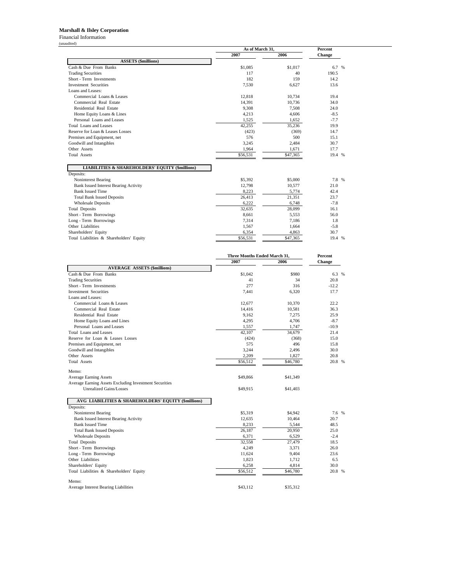#### **Marshall & Ilsley Corporation**

Financial Information

|                                                                         | As of March 31, |          | Percent |
|-------------------------------------------------------------------------|-----------------|----------|---------|
|                                                                         | 2007            | 2006     | Change  |
| <b>ASSETS (\$millions)</b>                                              |                 |          |         |
| Cash & Due From Banks                                                   | \$1,085         | \$1,017  | 6.7 %   |
| <b>Trading Securities</b>                                               | 117             | 40       | 190.5   |
| Short - Term Investments                                                | 182             | 159      | 14.2    |
| <b>Investment Securities</b>                                            | 7,530           | 6.627    | 13.6    |
| Loans and Leases:                                                       |                 |          |         |
| Commercial Loans & Leases                                               | 12,818          | 10,734   | 19.4    |
| Commercial Real Estate                                                  | 14.391          | 10.736   | 34.0    |
| Residential Real Estate                                                 | 9,308           | 7,508    | 24.0    |
| Home Equity Loans & Lines                                               | 4,213           | 4.606    | $-8.5$  |
| Personal Loans and Leases                                               | 1,525           | 1.652    | $-7.7$  |
| <b>Total Loans and Leases</b>                                           | 42,255          | 35,236   | 19.9    |
| Reserve for Loan & Leases Losses                                        | (423)           | (369)    | 14.7    |
| Premises and Equipment, net                                             | 576             | 500      | 15.1    |
| Goodwill and Intangibles                                                | 3,245           | 2,484    | 30.7    |
| Other Assets                                                            | 1,964           | 1,671    | 17.7    |
| <b>Total Assets</b>                                                     | \$56,531        | \$47,365 | 19.4 %  |
| <b>LIABILITIES &amp; SHAREHOLDERS' EQUITY (\$millions)</b><br>Deposits: |                 |          |         |
| Noninterest Bearing                                                     | \$5,392         | \$5,000  | 7.8 %   |
| <b>Bank Issued Interest Bearing Activity</b>                            | 12,798          | 10.577   | 21.0    |
| <b>Bank Issued Time</b>                                                 | 8,223           | 5,774    | 42.4    |
| <b>Total Bank Issued Deposits</b>                                       | 26.413          | 21.351   | 23.7    |
| <b>Wholesale Deposits</b>                                               | 6,222           | 6,748    | $-7.8$  |
| <b>Total Deposits</b>                                                   | 32,635          | 28,099   | 16.1    |
| Short - Term Borrowings                                                 | 8,661           | 5,553    | 56.0    |
| Long - Term Borrowings                                                  | 7,314           | 7,186    | 1.8     |
| Other Liabilities                                                       | 1,567           | 1,664    | $-5.8$  |
| Shareholders' Equity                                                    | 6,354           | 4,863    | 30.7    |
| Total Liabilities & Shareholders' Equity                                | \$56,531        | \$47,365 | 19.4 %  |

|                                                        | Three Months Ended March 31, | <b>Percent</b> |               |  |
|--------------------------------------------------------|------------------------------|----------------|---------------|--|
|                                                        | 2007                         | 2006           | <b>Change</b> |  |
| <b>AVERAGE ASSETS (\$millions)</b>                     |                              |                |               |  |
| Cash & Due From Banks                                  | \$1,042                      | \$980          | 6.3 %         |  |
| <b>Trading Securities</b>                              | 41                           | 34             | 20.8          |  |
| Short - Term Investments                               | 277                          | 316            | $-12.2$       |  |
| <b>Investment Securities</b>                           | 7,441                        | 6,320          | 17.7          |  |
| Loans and Leases:                                      |                              |                |               |  |
| Commercial Loans & Leases                              | 12,677                       | 10,370         | 22.2          |  |
| Commercial Real Estate                                 | 14.416                       | 10,581         | 36.3          |  |
| Residential Real Estate                                | 9,162                        | 7,275          | 25.9          |  |
| Home Equity Loans and Lines                            | 4,295                        | 4,706          | $-8.7$        |  |
| Personal Loans and Leases                              | 1,557                        | 1,747          | $-10.9$       |  |
| Total Loans and Leases                                 | 42,107                       | 34,679         | 21.4          |  |
| Reserve for Loan & Leases Losses                       | (424)                        | (368)          | 15.0          |  |
| Premises and Equipment, net                            | 575                          | 496            | 15.8          |  |
| Goodwill and Intangibles                               | 3,244                        | 2,496          | 30.0          |  |
| Other Assets                                           | 2,209                        | 1,827          | 20.8          |  |
| <b>Total Assets</b>                                    | \$56,512                     | \$46,780       | 20.8 %        |  |
|                                                        |                              |                |               |  |
| Memo:<br><b>Average Earning Assets</b>                 | \$49,866                     |                |               |  |
| Average Earning Assets Excluding Investment Securities |                              | \$41,349       |               |  |
| <b>Unrealized Gains/Losses</b>                         |                              |                |               |  |
|                                                        | \$49,915                     | \$41,403       |               |  |
| AVG LIABILITIES & SHAREHOLDERS' EQUITY (\$millions)    |                              |                |               |  |
| Deposits:                                              |                              |                |               |  |
| Noninterest Bearing                                    | \$5,319                      | \$4,942        | 7.6 %         |  |
| <b>Bank Issued Interest Bearing Activity</b>           | 12,635                       | 10,464         | 20.7          |  |
| <b>Bank Issued Time</b>                                | 8,233                        | 5,544          | 48.5          |  |
| <b>Total Bank Issued Deposits</b>                      | 26,187                       | 20,950         | 25.0          |  |
| <b>Wholesale Deposits</b>                              | 6,371                        | 6,529          | $-2.4$        |  |
| <b>Total Deposits</b>                                  | 32,558                       | 27,479         | 18.5          |  |
| Short - Term Borrowings                                | 4,249                        | 3,371          | 26.0          |  |
| Long - Term Borrowings                                 | 11,624                       | 9,404          | 23.6          |  |
| Other Liabilities                                      | 1,823                        | 1,712          | 6.5           |  |
| Shareholders' Equity                                   | 6,258                        | 4,814          | 30.0          |  |
| Total Liabilities & Shareholders' Equity               | \$56,512                     | \$46,780       | 20.8 %        |  |
|                                                        |                              |                |               |  |
| Memo:                                                  |                              |                |               |  |
| Average Interest Bearing Liabilities                   | \$43,112                     | \$35,312       |               |  |